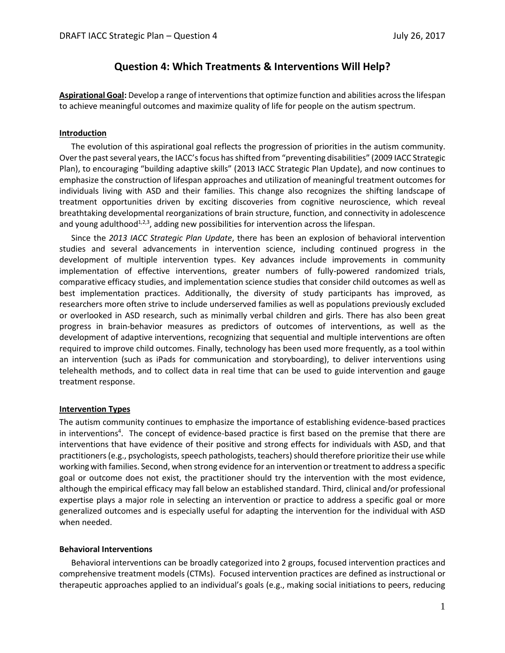# **Question 4: Which Treatments & Interventions Will Help?**

**Aspirational Goal:** Develop a range of interventions that optimize function and abilities across the lifespan to achieve meaningful outcomes and maximize quality of life for people on the autism spectrum.

## **Introduction**

The evolution of this aspirational goal reflects the progression of priorities in the autism community. Over the past several years, the IACC's focus has shifted from "preventing disabilities" (2009 IACC Strategic Plan), to encouraging "building adaptive skills" (2013 IACC Strategic Plan Update), and now continues to emphasize the construction of lifespan approaches and utilization of meaningful treatment outcomes for individuals living with ASD and their families. This change also recognizes the shifting landscape of treatment opportunities driven by exciting discoveries from cognitive neuroscience, which reveal breathtaking developmental reorganizations of brain structure, function, and connectivity in adolescence and young adulthood<sup>1,2,3</sup>, adding new possibilities for intervention across the lifespan.

Since the *2013 IACC Strategic Plan Update*, there has been an explosion of behavioral intervention studies and several advancements in intervention science, including continued progress in the development of multiple intervention types. Key advances include improvements in community implementation of effective interventions, greater numbers of fully-powered randomized trials, comparative efficacy studies, and implementation science studies that consider child outcomes as well as best implementation practices. Additionally, the diversity of study participants has improved, as researchers more often strive to include underserved families as well as populations previously excluded or overlooked in ASD research, such as minimally verbal children and girls. There has also been great progress in brain-behavior measures as predictors of outcomes of interventions, as well as the development of adaptive interventions, recognizing that sequential and multiple interventions are often required to improve child outcomes. Finally, technology has been used more frequently, as a tool within an intervention (such as iPads for communication and storyboarding), to deliver interventions using telehealth methods, and to collect data in real time that can be used to guide intervention and gauge treatment response.

## **Intervention Types**

The autism community continues to emphasize the importance of establishing evidence-based practices in interventions<sup>4</sup>. The concept of evidence-based practice is first based on the premise that there are interventions that have evidence of their positive and strong effects for individuals with ASD, and that practitioners (e.g., psychologists, speech pathologists, teachers) should therefore prioritize their use while working with families. Second, when strong evidence for an intervention or treatment to address a specific goal or outcome does not exist, the practitioner should try the intervention with the most evidence, although the empirical efficacy may fall below an established standard. Third, clinical and/or professional expertise plays a major role in selecting an intervention or practice to address a specific goal or more generalized outcomes and is especially useful for adapting the intervention for the individual with ASD when needed.

## **Behavioral Interventions**

Behavioral interventions can be broadly categorized into 2 groups, focused intervention practices and comprehensive treatment models (CTMs). Focused intervention practices are defined as instructional or therapeutic approaches applied to an individual's goals (e.g., making social initiations to peers, reducing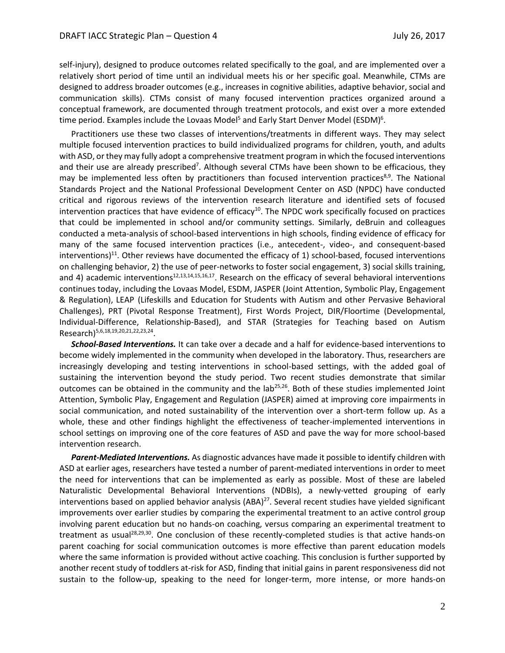self-injury), designed to produce outcomes related specifically to the goal, and are implemented over a relatively short period of time until an individual meets his or her specific goal. Meanwhile, CTMs are designed to address broader outcomes (e.g., increases in cognitive abilities, adaptive behavior, social and communication skills). CTMs consist of many focused intervention practices organized around a conceptual framework, are documented through treatment protocols, and exist over a more extended time period. Examples include the Lovaas Model<sup>5</sup> and Early Start Denver Model (ESDM)<sup>6</sup>.

Practitioners use these two classes of interventions/treatments in different ways. They may select multiple focused intervention practices to build individualized programs for children, youth, and adults with ASD, or they may fully adopt a comprehensive treatment program in which the focused interventions and their use are already prescribed<sup>7</sup>. Although several CTMs have been shown to be efficacious, they may be implemented less often by practitioners than focused intervention practices<sup>8,9</sup>. The National Standards Project and the National Professional Development Center on ASD (NPDC) have conducted critical and rigorous reviews of the intervention research literature and identified sets of focused intervention practices that have evidence of efficacy<sup>10</sup>. The NPDC work specifically focused on practices that could be implemented in school and/or community settings. Similarly, deBruin and colleagues conducted a meta-analysis of school-based interventions in high schools, finding evidence of efficacy for many of the same focused intervention practices (i.e., antecedent-, video-, and consequent-based interventions)<sup>11</sup>. Other reviews have documented the efficacy of 1) school-based, focused interventions on challenging behavior, 2) the use of peer-networks to foster social engagement, 3) social skills training, and 4) academic interventions<sup>12,13,14,15,16,17</sup>. Research on the efficacy of several behavioral interventions continues today, including the Lovaas Model, ESDM, JASPER (Joint Attention, Symbolic Play, Engagement & Regulation), LEAP (Lifeskills and Education for Students with Autism and other Pervasive Behavioral Challenges), PRT (Pivotal Response Treatment), First Words Project, DIR/Floortime (Developmental, Individual-Difference, Relationship-Based), and STAR (Strategies for Teaching based on Autism Research)<sup>5,6,18,19,20,21,22,23,24</sup>.

*School-Based Interventions.* It can take over a decade and a half for evidence-based interventions to become widely implemented in the community when developed in the laboratory. Thus, researchers are increasingly developing and testing interventions in school-based settings, with the added goal of sustaining the intervention beyond the study period. Two recent studies demonstrate that similar outcomes can be obtained in the community and the lab<sup>25,26</sup>. Both of these studies implemented Joint Attention, Symbolic Play, Engagement and Regulation (JASPER) aimed at improving core impairments in social communication, and noted sustainability of the intervention over a short-term follow up. As a whole, these and other findings highlight the effectiveness of teacher-implemented interventions in school settings on improving one of the core features of ASD and pave the way for more school-based intervention research.

*Parent-Mediated Interventions.* As diagnostic advances have made it possible to identify children with ASD at earlier ages, researchers have tested a number of parent-mediated interventions in order to meet the need for interventions that can be implemented as early as possible. Most of these are labeled Naturalistic Developmental Behavioral Interventions (NDBIs), a newly-vetted grouping of early interventions based on applied behavior analysis (ABA)<sup>27</sup>. Several recent studies have yielded significant improvements over earlier studies by comparing the experimental treatment to an active control group involving parent education but no hands-on coaching, versus comparing an experimental treatment to treatment as usual<sup>28,29,30</sup>. One conclusion of these recently-completed studies is that active hands-on parent coaching for social communication outcomes is more effective than parent education models where the same information is provided without active coaching. This conclusion is further supported by another recent study of toddlers at-risk for ASD, finding that initial gains in parent responsiveness did not sustain to the follow-up, speaking to the need for longer-term, more intense, or more hands-on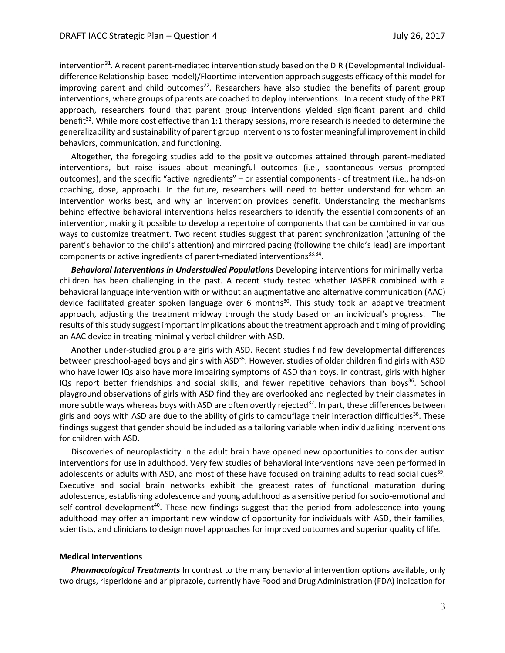intervention<sup>31</sup>. A recent parent-mediated intervention study based on the DIR (Developmental Individualdifference Relationship-based model)/Floortime intervention approach suggests efficacy of this model for improving parent and child outcomes<sup>22</sup>. Researchers have also studied the benefits of parent group interventions, where groups of parents are coached to deploy interventions. In a recent study of the PRT approach, researchers found that parent group interventions yielded significant parent and child benefit<sup>32</sup>. While more cost effective than 1:1 therapy sessions, more research is needed to determine the generalizability and sustainability of parent group interventionsto foster meaningful improvement in child behaviors, communication, and functioning.

Altogether, the foregoing studies add to the positive outcomes attained through parent-mediated interventions, but raise issues about meaningful outcomes (i.e., spontaneous versus prompted outcomes), and the specific "active ingredients" – or essential components - of treatment (i.e., hands-on coaching, dose, approach). In the future, researchers will need to better understand for whom an intervention works best, and why an intervention provides benefit. Understanding the mechanisms behind effective behavioral interventions helps researchers to identify the essential components of an intervention, making it possible to develop a repertoire of components that can be combined in various ways to customize treatment. Two recent studies suggest that parent synchronization (attuning of the parent's behavior to the child's attention) and mirrored pacing (following the child's lead) are important components or active ingredients of parent-mediated interventions $^{33,34}$ .

*Behavioral Interventions in Understudied Populations* Developing interventions for minimally verbal children has been challenging in the past. A recent study tested whether JASPER combined with a behavioral language intervention with or without an augmentative and alternative communication (AAC) device facilitated greater spoken language over 6 months 30 . This study took an adaptive treatment approach, adjusting the treatment midway through the study based on an individual's progress. The results of this study suggest important implications about the treatment approach and timing of providing an AAC device in treating minimally verbal children with ASD.

Another under-studied group are girls with ASD. Recent studies find few developmental differences between preschool-aged boys and girls with  $ASD<sup>35</sup>$ . However, studies of older children find girls with ASD who have lower IQs also have more impairing symptoms of ASD than boys. In contrast, girls with higher IQs report better friendships and social skills, and fewer repetitive behaviors than boys<sup>36</sup>. School playground observations of girls with ASD find they are overlooked and neglected by their classmates in more subtle ways whereas boys with ASD are often overtly rejected $37$ . In part, these differences between girls and boys with ASD are due to the ability of girls to camouflage their interaction difficulties<sup>38</sup>. These findings suggest that gender should be included as a tailoring variable when individualizing interventions for children with ASD.

Discoveries of neuroplasticity in the adult brain have opened new opportunities to consider autism interventions for use in adulthood. Very few studies of behavioral interventions have been performed in adolescents or adults with ASD, and most of these have focused on training adults to read social cues<sup>39</sup>. Executive and social brain networks exhibit the greatest rates of functional maturation during adolescence, establishing adolescence and young adulthood as a sensitive period for socio-emotional and self-control development<sup>40</sup>. These new findings suggest that the period from adolescence into young adulthood may offer an important new window of opportunity for individuals with ASD, their families, scientists, and clinicians to design novel approaches for improved outcomes and superior quality of life.

## **Medical Interventions**

*Pharmacological Treatments* In contrast to the many behavioral intervention options available, only two drugs, risperidone and aripiprazole, currently have Food and Drug Administration (FDA) indication for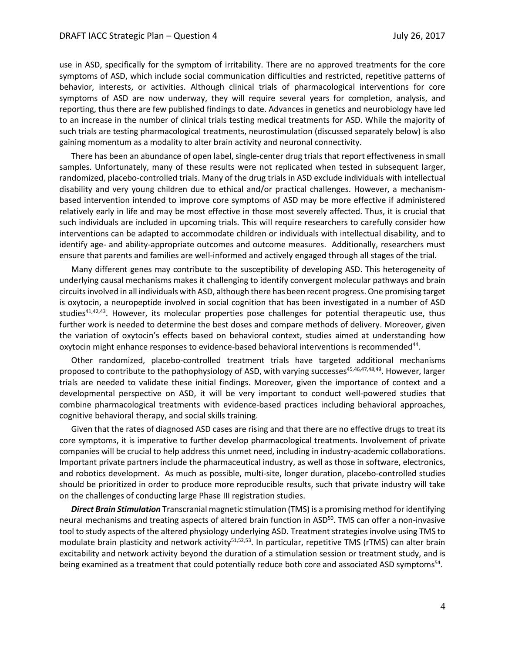use in ASD, specifically for the symptom of irritability. There are no approved treatments for the core symptoms of ASD, which include social communication difficulties and restricted, repetitive patterns of behavior, interests, or activities. Although clinical trials of pharmacological interventions for core symptoms of ASD are now underway, they will require several years for completion, analysis, and reporting, thus there are few published findings to date. Advances in genetics and neurobiology have led to an increase in the number of clinical trials testing medical treatments for ASD. While the majority of such trials are testing pharmacological treatments, neurostimulation (discussed separately below) is also gaining momentum as a modality to alter brain activity and neuronal connectivity.

There has been an abundance of open label, single-center drug trials that report effectiveness in small samples. Unfortunately, many of these results were not replicated when tested in subsequent larger, randomized, placebo-controlled trials. Many of the drug trials in ASD exclude individuals with intellectual disability and very young children due to ethical and/or practical challenges. However, a mechanismbased intervention intended to improve core symptoms of ASD may be more effective if administered relatively early in life and may be most effective in those most severely affected. Thus, it is crucial that such individuals are included in upcoming trials. This will require researchers to carefully consider how interventions can be adapted to accommodate children or individuals with intellectual disability, and to identify age- and ability-appropriate outcomes and outcome measures. Additionally, researchers must ensure that parents and families are well-informed and actively engaged through all stages of the trial.

Many different genes may contribute to the susceptibility of developing ASD. This heterogeneity of underlying causal mechanisms makes it challenging to identify convergent molecular pathways and brain circuits involved in all individuals with ASD, although there has been recent progress. One promising target is oxytocin, a neuropeptide involved in social cognition that has been investigated in a number of ASD studies<sup>41,42,43</sup>. However, its molecular properties pose challenges for potential therapeutic use, thus further work is needed to determine the best doses and compare methods of delivery. Moreover, given the variation of oxytocin's effects based on behavioral context, studies aimed at understanding how oxytocin might enhance responses to evidence-based behavioral interventions is recommended<sup>44</sup>.

Other randomized, placebo-controlled treatment trials have targeted additional mechanisms proposed to contribute to the pathophysiology of ASD, with varying successes<sup>45,46,47,48,49</sup>. However, larger trials are needed to validate these initial findings. Moreover, given the importance of context and a developmental perspective on ASD, it will be very important to conduct well-powered studies that combine pharmacological treatments with evidence-based practices including behavioral approaches, cognitive behavioral therapy, and social skills training.

Given that the rates of diagnosed ASD cases are rising and that there are no effective drugs to treat its core symptoms, it is imperative to further develop pharmacological treatments. Involvement of private companies will be crucial to help address this unmet need, including in industry-academic collaborations. Important private partners include the pharmaceutical industry, as well as those in software, electronics, and robotics development. As much as possible, multi-site, longer duration, placebo-controlled studies should be prioritized in order to produce more reproducible results, such that private industry will take on the challenges of conducting large Phase III registration studies.

*Direct Brain Stimulation* Transcranial magnetic stimulation (TMS) is a promising method for identifying neural mechanisms and treating aspects of altered brain function in ASD<sup>50</sup>. TMS can offer a non-invasive tool to study aspects of the altered physiology underlying ASD. Treatment strategies involve using TMS to modulate brain plasticity and network activity<sup>51,52,53</sup>. In particular, repetitive TMS (rTMS) can alter brain excitability and network activity beyond the duration of a stimulation session or treatment study, and is being examined as a treatment that could potentially reduce both core and associated ASD symptoms<sup>54</sup>.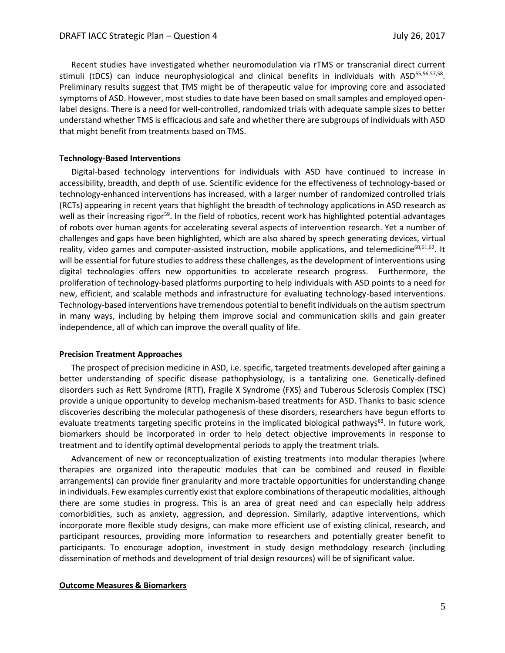Recent studies have investigated whether neuromodulation via rTMS or transcranial direct current stimuli (tDCS) can induce neurophysiological and clinical benefits in individuals with ASD<sup>55,56,57,58</sup>. Preliminary results suggest that TMS might be of therapeutic value for improving core and associated symptoms of ASD. However, most studies to date have been based on small samples and employed openlabel designs. There is a need for well-controlled, randomized trials with adequate sample sizes to better understand whether TMS is efficacious and safe and whether there are subgroups of individuals with ASD that might benefit from treatments based on TMS.

## **Technology-Based Interventions**

Digital-based technology interventions for individuals with ASD have continued to increase in accessibility, breadth, and depth of use. Scientific evidence for the effectiveness of technology-based or technology-enhanced interventions has increased, with a larger number of randomized controlled trials (RCTs) appearing in recent years that highlight the breadth of technology applications in ASD research as well as their increasing rigor<sup>59</sup>. In the field of robotics, recent work has highlighted potential advantages of robots over human agents for accelerating several aspects of intervention research. Yet a number of challenges and gaps have been highlighted, which are also shared by speech generating devices, virtual reality, video games and computer-assisted instruction, mobile applications, and telemedicine<sup>60,61,62</sup>. It will be essential for future studies to address these challenges, as the development of interventions using digital technologies offers new opportunities to accelerate research progress. Furthermore, the proliferation of technology-based platforms purporting to help individuals with ASD points to a need for new, efficient, and scalable methods and infrastructure for evaluating technology-based interventions. Technology-based interventions have tremendous potential to benefit individuals on the autism spectrum in many ways, including by helping them improve social and communication skills and gain greater independence, all of which can improve the overall quality of life.

#### **Precision Treatment Approaches**

The prospect of precision medicine in ASD, i.e. specific, targeted treatments developed after gaining a better understanding of specific disease pathophysiology, is a tantalizing one. Genetically-defined disorders such as Rett Syndrome (RTT), Fragile X Syndrome (FXS) and Tuberous Sclerosis Complex (TSC) provide a unique opportunity to develop mechanism-based treatments for ASD. Thanks to basic science discoveries describing the molecular pathogenesis of these disorders, researchers have begun efforts to evaluate treatments targeting specific proteins in the implicated biological pathways<sup>63</sup>. In future work, biomarkers should be incorporated in order to help detect objective improvements in response to treatment and to identify optimal developmental periods to apply the treatment trials.

Advancement of new or reconceptualization of existing treatments into modular therapies (where therapies are organized into therapeutic modules that can be combined and reused in flexible arrangements) can provide finer granularity and more tractable opportunities for understanding change in individuals. Few examples currently exist that explore combinations of therapeutic modalities, although there are some studies in progress. This is an area of great need and can especially help address comorbidities, such as anxiety, aggression, and depression. Similarly, adaptive interventions, which incorporate more flexible study designs, can make more efficient use of existing clinical, research, and participant resources, providing more information to researchers and potentially greater benefit to participants. To encourage adoption, investment in study design methodology research (including dissemination of methods and development of trial design resources) will be of significant value.

## **Outcome Measures & Biomarkers**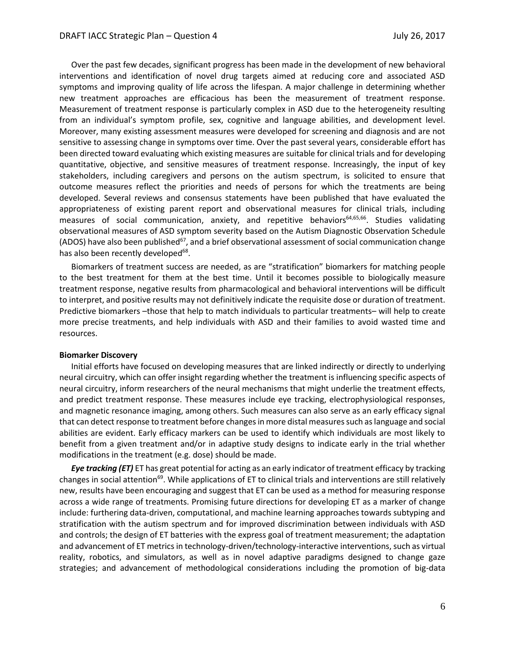Over the past few decades, significant progress has been made in the development of new behavioral interventions and identification of novel drug targets aimed at reducing core and associated ASD symptoms and improving quality of life across the lifespan. A major challenge in determining whether new treatment approaches are efficacious has been the measurement of treatment response. Measurement of treatment response is particularly complex in ASD due to the heterogeneity resulting from an individual's symptom profile, sex, cognitive and language abilities, and development level. Moreover, many existing assessment measures were developed for screening and diagnosis and are not sensitive to assessing change in symptoms over time. Over the past several years, considerable effort has been directed toward evaluating which existing measures are suitable for clinical trials and for developing quantitative, objective, and sensitive measures of treatment response. Increasingly, the input of key stakeholders, including caregivers and persons on the autism spectrum, is solicited to ensure that outcome measures reflect the priorities and needs of persons for which the treatments are being developed. Several reviews and consensus statements have been published that have evaluated the appropriateness of existing parent report and observational measures for clinical trials, including measures of social communication, anxiety, and repetitive behaviors<sup>64,65,66</sup>. Studies validating observational measures of ASD symptom severity based on the Autism Diagnostic Observation Schedule (ADOS) have also been published<sup>67</sup>, and a brief observational assessment of social communication change has also been recently developed<sup>68</sup>.

Biomarkers of treatment success are needed, as are "stratification" biomarkers for matching people to the best treatment for them at the best time. Until it becomes possible to biologically measure treatment response, negative results from pharmacological and behavioral interventions will be difficult to interpret, and positive results may not definitively indicate the requisite dose or duration of treatment. Predictive biomarkers –those that help to match individuals to particular treatments– will help to create more precise treatments, and help individuals with ASD and their families to avoid wasted time and resources.

## **Biomarker Discovery**

Initial efforts have focused on developing measures that are linked indirectly or directly to underlying neural circuitry, which can offer insight regarding whether the treatment is influencing specific aspects of neural circuitry, inform researchers of the neural mechanisms that might underlie the treatment effects, and predict treatment response. These measures include eye tracking, electrophysiological responses, and magnetic resonance imaging, among others. Such measures can also serve as an early efficacy signal that can detect response to treatment before changes in more distal measures such as language and social abilities are evident. Early efficacy markers can be used to identify which individuals are most likely to benefit from a given treatment and/or in adaptive study designs to indicate early in the trial whether modifications in the treatment (e.g. dose) should be made.

*Eye tracking (ET)* ET has great potential for acting as an early indicator of treatment efficacy by tracking changes in social attention<sup>69</sup>. While applications of ET to clinical trials and interventions are still relatively new, results have been encouraging and suggest that ET can be used as a method for measuring response across a wide range of treatments. Promising future directions for developing ET as a marker of change include: furthering data-driven, computational, and machine learning approaches towards subtyping and stratification with the autism spectrum and for improved discrimination between individuals with ASD and controls; the design of ET batteries with the express goal of treatment measurement; the adaptation and advancement of ET metrics in technology-driven/technology-interactive interventions, such as virtual reality, robotics, and simulators, as well as in novel adaptive paradigms designed to change gaze strategies; and advancement of methodological considerations including the promotion of big-data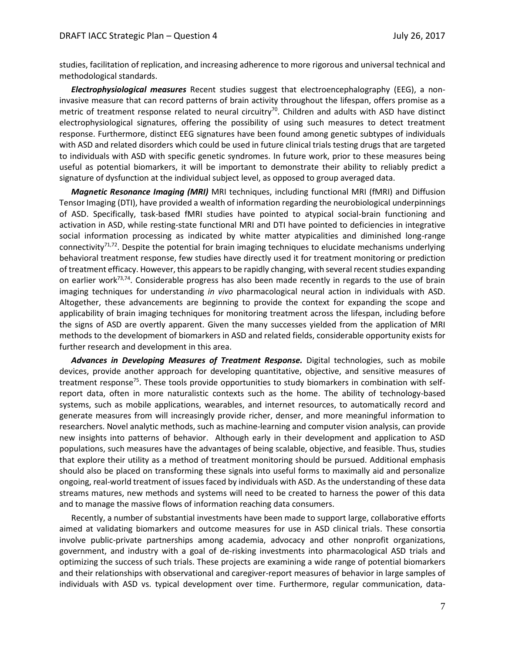studies, facilitation of replication, and increasing adherence to more rigorous and universal technical and methodological standards.

*Electrophysiological measures* Recent studies suggest that electroencephalography (EEG), a noninvasive measure that can record patterns of brain activity throughout the lifespan, offers promise as a metric of treatment response related to neural circuitry<sup>70</sup>. Children and adults with ASD have distinct electrophysiological signatures, offering the possibility of using such measures to detect treatment response. Furthermore, distinct EEG signatures have been found among genetic subtypes of individuals with ASD and related disorders which could be used in future clinical trials testing drugs that are targeted to individuals with ASD with specific genetic syndromes. In future work, prior to these measures being useful as potential biomarkers, it will be important to demonstrate their ability to reliably predict a signature of dysfunction at the individual subject level, as opposed to group averaged data.

*Magnetic Resonance Imaging (MRI)* MRI techniques, including functional MRI (fMRI) and Diffusion Tensor Imaging (DTI), have provided a wealth of information regarding the neurobiological underpinnings of ASD. Specifically, task-based fMRI studies have pointed to atypical social-brain functioning and activation in ASD, while resting-state functional MRI and DTI have pointed to deficiencies in integrative social information processing as indicated by white matter atypicalities and diminished long-range connectivity<sup>71,72</sup>. Despite the potential for brain imaging techniques to elucidate mechanisms underlying behavioral treatment response, few studies have directly used it for treatment monitoring or prediction of treatment efficacy. However, this appears to be rapidly changing, with several recent studies expanding on earlier work<sup>73,74</sup>. Considerable progress has also been made recently in regards to the use of brain imaging techniques for understanding *in vivo* pharmacological neural action in individuals with ASD. Altogether, these advancements are beginning to provide the context for expanding the scope and applicability of brain imaging techniques for monitoring treatment across the lifespan, including before the signs of ASD are overtly apparent. Given the many successes yielded from the application of MRI methods to the development of biomarkers in ASD and related fields, considerable opportunity exists for further research and development in this area.

*Advances in Developing Measures of Treatment Response.* Digital technologies, such as mobile devices, provide another approach for developing quantitative, objective, and sensitive measures of treatment response<sup>75</sup>. These tools provide opportunities to study biomarkers in combination with selfreport data, often in more naturalistic contexts such as the home. The ability of technology-based systems, such as mobile applications, wearables, and internet resources, to automatically record and generate measures from will increasingly provide richer, denser, and more meaningful information to researchers. Novel analytic methods, such as machine-learning and computer vision analysis, can provide new insights into patterns of behavior. Although early in their development and application to ASD populations, such measures have the advantages of being scalable, objective, and feasible. Thus, studies that explore their utility as a method of treatment monitoring should be pursued. Additional emphasis should also be placed on transforming these signals into useful forms to maximally aid and personalize ongoing, real-world treatment of issues faced by individuals with ASD. As the understanding of these data streams matures, new methods and systems will need to be created to harness the power of this data and to manage the massive flows of information reaching data consumers.

Recently, a number of substantial investments have been made to support large, collaborative efforts aimed at validating biomarkers and outcome measures for use in ASD clinical trials. These consortia involve public-private partnerships among academia, advocacy and other nonprofit organizations, government, and industry with a goal of de-risking investments into pharmacological ASD trials and optimizing the success of such trials. These projects are examining a wide range of potential biomarkers and their relationships with observational and caregiver-report measures of behavior in large samples of individuals with ASD vs. typical development over time. Furthermore, regular communication, data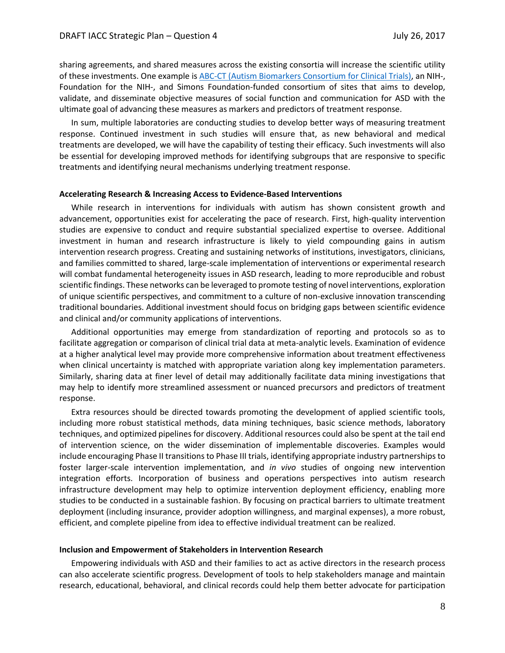sharing agreements, and shared measures across the existing consortia will increase the scientific utility of these investments. One example i[s ABC-CT \(Autism Biomarkers Consortium for Clinical Trials\),](http://ycci.yale.edu/researchers/autism/) an NIH-, Foundation for the NIH-, and Simons Foundation-funded consortium of sites that aims to develop, validate, and disseminate objective measures of social function and communication for ASD with the ultimate goal of advancing these measures as markers and predictors of treatment response.

In sum, multiple laboratories are conducting studies to develop better ways of measuring treatment response. Continued investment in such studies will ensure that, as new behavioral and medical treatments are developed, we will have the capability of testing their efficacy. Such investments will also be essential for developing improved methods for identifying subgroups that are responsive to specific treatments and identifying neural mechanisms underlying treatment response.

## **Accelerating Research & Increasing Access to Evidence-Based Interventions**

While research in interventions for individuals with autism has shown consistent growth and advancement, opportunities exist for accelerating the pace of research. First, high-quality intervention studies are expensive to conduct and require substantial specialized expertise to oversee. Additional investment in human and research infrastructure is likely to yield compounding gains in autism intervention research progress. Creating and sustaining networks of institutions, investigators, clinicians, and families committed to shared, large-scale implementation of interventions or experimental research will combat fundamental heterogeneity issues in ASD research, leading to more reproducible and robust scientific findings. These networks can be leveraged to promote testing of novel interventions, exploration of unique scientific perspectives, and commitment to a culture of non-exclusive innovation transcending traditional boundaries. Additional investment should focus on bridging gaps between scientific evidence and clinical and/or community applications of interventions.

Additional opportunities may emerge from standardization of reporting and protocols so as to facilitate aggregation or comparison of clinical trial data at meta-analytic levels. Examination of evidence at a higher analytical level may provide more comprehensive information about treatment effectiveness when clinical uncertainty is matched with appropriate variation along key implementation parameters. Similarly, sharing data at finer level of detail may additionally facilitate data mining investigations that may help to identify more streamlined assessment or nuanced precursors and predictors of treatment response.

Extra resources should be directed towards promoting the development of applied scientific tools, including more robust statistical methods, data mining techniques, basic science methods, laboratory techniques, and optimized pipelines for discovery. Additional resources could also be spent at the tail end of intervention science, on the wider dissemination of implementable discoveries. Examples would include encouraging Phase II transitions to Phase III trials, identifying appropriate industry partnerships to foster larger-scale intervention implementation, and *in vivo* studies of ongoing new intervention integration efforts. Incorporation of business and operations perspectives into autism research infrastructure development may help to optimize intervention deployment efficiency, enabling more studies to be conducted in a sustainable fashion. By focusing on practical barriers to ultimate treatment deployment (including insurance, provider adoption willingness, and marginal expenses), a more robust, efficient, and complete pipeline from idea to effective individual treatment can be realized.

#### **Inclusion and Empowerment of Stakeholders in Intervention Research**

Empowering individuals with ASD and their families to act as active directors in the research process can also accelerate scientific progress. Development of tools to help stakeholders manage and maintain research, educational, behavioral, and clinical records could help them better advocate for participation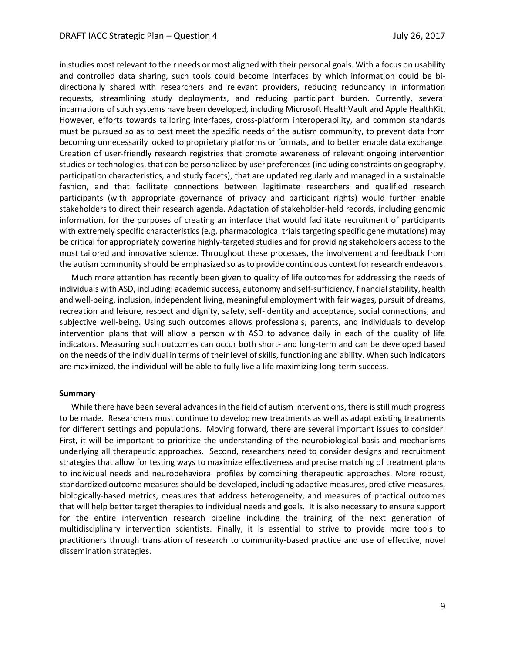in studies most relevant to their needs or most aligned with their personal goals. With a focus on usability and controlled data sharing, such tools could become interfaces by which information could be bidirectionally shared with researchers and relevant providers, reducing redundancy in information requests, streamlining study deployments, and reducing participant burden. Currently, several incarnations of such systems have been developed, including Microsoft HealthVault and Apple HealthKit. However, efforts towards tailoring interfaces, cross-platform interoperability, and common standards must be pursued so as to best meet the specific needs of the autism community, to prevent data from becoming unnecessarily locked to proprietary platforms or formats, and to better enable data exchange. Creation of user-friendly research registries that promote awareness of relevant ongoing intervention studies or technologies, that can be personalized by user preferences (including constraints on geography, participation characteristics, and study facets), that are updated regularly and managed in a sustainable fashion, and that facilitate connections between legitimate researchers and qualified research participants (with appropriate governance of privacy and participant rights) would further enable stakeholders to direct their research agenda. Adaptation of stakeholder-held records, including genomic information, for the purposes of creating an interface that would facilitate recruitment of participants with extremely specific characteristics (e.g. pharmacological trials targeting specific gene mutations) may be critical for appropriately powering highly-targeted studies and for providing stakeholders access to the most tailored and innovative science. Throughout these processes, the involvement and feedback from the autism community should be emphasized so as to provide continuous context for research endeavors.

Much more attention has recently been given to quality of life outcomes for addressing the needs of individuals with ASD, including: academic success, autonomy and self-sufficiency, financial stability, health and well-being, inclusion, independent living, meaningful employment with fair wages, pursuit of dreams, recreation and leisure, respect and dignity, safety, self-identity and acceptance, social connections, and subjective well-being. Using such outcomes allows professionals, parents, and individuals to develop intervention plans that will allow a person with ASD to advance daily in each of the quality of life indicators. Measuring such outcomes can occur both short- and long-term and can be developed based on the needs of the individual in terms of their level of skills, functioning and ability. When such indicators are maximized, the individual will be able to fully live a life maximizing long-term success.

### **Summary**

While there have been several advances in the field of autism interventions, there is still much progress to be made. Researchers must continue to develop new treatments as well as adapt existing treatments for different settings and populations. Moving forward, there are several important issues to consider. First, it will be important to prioritize the understanding of the neurobiological basis and mechanisms underlying all therapeutic approaches. Second, researchers need to consider designs and recruitment strategies that allow for testing ways to maximize effectiveness and precise matching of treatment plans to individual needs and neurobehavioral profiles by combining therapeutic approaches. More robust, standardized outcome measures should be developed, including adaptive measures, predictive measures, biologically-based metrics, measures that address heterogeneity, and measures of practical outcomes that will help better target therapies to individual needs and goals. It is also necessary to ensure support for the entire intervention research pipeline including the training of the next generation of multidisciplinary intervention scientists. Finally, it is essential to strive to provide more tools to practitioners through translation of research to community-based practice and use of effective, novel dissemination strategies.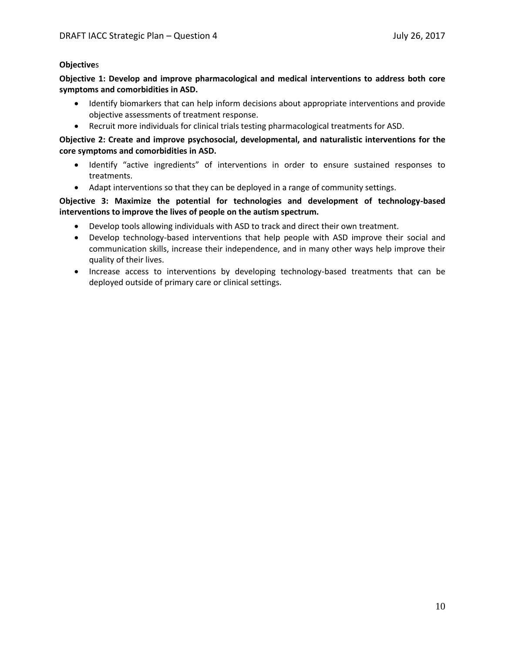## **Objective**s

**Objective 1: Develop and improve pharmacological and medical interventions to address both core symptoms and comorbidities in ASD.**

- Identify biomarkers that can help inform decisions about appropriate interventions and provide objective assessments of treatment response.
- Recruit more individuals for clinical trials testing pharmacological treatments for ASD.

**Objective 2: Create and improve psychosocial, developmental, and naturalistic interventions for the core symptoms and comorbidities in ASD.**

- Identify "active ingredients" of interventions in order to ensure sustained responses to treatments.
- Adapt interventions so that they can be deployed in a range of community settings.

# **Objective 3: Maximize the potential for technologies and development of technology-based interventions to improve the lives of people on the autism spectrum.**

- Develop tools allowing individuals with ASD to track and direct their own treatment.
- Develop technology-based interventions that help people with ASD improve their social and communication skills, increase their independence, and in many other ways help improve their quality of their lives.
- Increase access to interventions by developing technology-based treatments that can be deployed outside of primary care or clinical settings.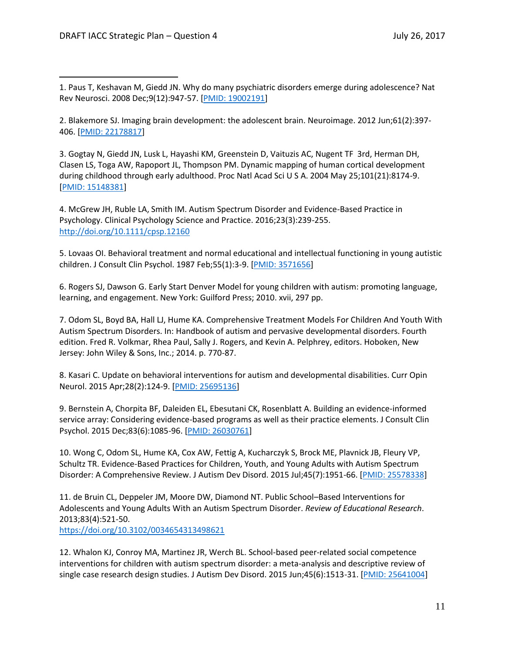1. Paus T, Keshavan M, Giedd JN. Why do many psychiatric disorders emerge during adolescence? Nat Rev Neurosci. 2008 Dec;9(12):947-57. [\[PMID: 19002191\]](https://www.ncbi.nlm.nih.gov/pubmed/19002191)

2. Blakemore SJ. Imaging brain development: the adolescent brain. Neuroimage. 2012 Jun;61(2):397- 406. [\[PMID: 22178817\]](https://www.ncbi.nlm.nih.gov/pubmed/22178817)

3. Gogtay N, Giedd JN, Lusk L, Hayashi KM, Greenstein D, Vaituzis AC, Nugent TF 3rd, Herman DH, Clasen LS, Toga AW, Rapoport JL, Thompson PM. Dynamic mapping of human cortical development during childhood through early adulthood. Proc Natl Acad Sci U S A. 2004 May 25;101(21):8174-9. [\[PMID: 15148381\]](https://www.ncbi.nlm.nih.gov/pubmed/15148381)

4. McGrew JH, Ruble LA, Smith IM. Autism Spectrum Disorder and Evidence-Based Practice in Psychology. Clinical Psychology Science and Practice. 2016;23(3):239-255. <http://doi.org/10.1111/cpsp.12160>

5. Lovaas OI. Behavioral treatment and normal educational and intellectual functioning in young autistic children. J Consult Clin Psychol. 1987 Feb;55(1):3-9. [\[PMID: 3571656\]](https://www.ncbi.nlm.nih.gov/pubmed/3571656)

6. Rogers SJ, Dawson G. Early Start Denver Model for young children with autism: promoting language, learning, and engagement. New York: Guilford Press; 2010. xvii, 297 pp.

7. Odom SL, Boyd BA, Hall LJ, Hume KA. Comprehensive Treatment Models For Children And Youth With Autism Spectrum Disorders. In: Handbook of autism and pervasive developmental disorders. Fourth edition. Fred R. Volkmar, Rhea Paul, Sally J. Rogers, and Kevin A. Pelphrey, editors. Hoboken, New Jersey: John Wiley & Sons, Inc.; 2014. p. 770-87.

8. Kasari C. Update on behavioral interventions for autism and developmental disabilities. Curr Opin Neurol. 2015 Apr;28(2):124-9. [\[PMID: 25695136\]](https://www.ncbi.nlm.nih.gov/pubmed/25695136)

9. Bernstein A, Chorpita BF, Daleiden EL, Ebesutani CK, Rosenblatt A. Building an evidence-informed service array: Considering evidence-based programs as well as their practice elements. J Consult Clin Psychol. 2015 Dec;83(6):1085-96. [\[PMID: 26030761\]](https://www.ncbi.nlm.nih.gov/pubmed/26030761)

10. Wong C, Odom SL, Hume KA, Cox AW, Fettig A, Kucharczyk S, Brock ME, Plavnick JB, Fleury VP, Schultz TR. Evidence-Based Practices for Children, Youth, and Young Adults with Autism Spectrum Disorder: A Comprehensive Review. J Autism Dev Disord. 2015 Jul;45(7):1951-66. [\[PMID: 25578338\]](https://www.ncbi.nlm.nih.gov/pubmed/25578338)

11. de Bruin CL, Deppeler JM, Moore DW, Diamond NT. Public School–Based Interventions for Adolescents and Young Adults With an Autism Spectrum Disorder. *Review of Educational Research*. 2013;83(4):521-50. <https://doi.org/10.3102/0034654313498621>

12. Whalon KJ, Conroy MA, Martinez JR, Werch BL. School-based peer-related social competence interventions for children with autism spectrum disorder: a meta-analysis and descriptive review of single case research design studies. J Autism Dev Disord. 2015 Jun;45(6):1513-31. [\[PMID: 25641004\]](https://www.ncbi.nlm.nih.gov/pubmed/25641004)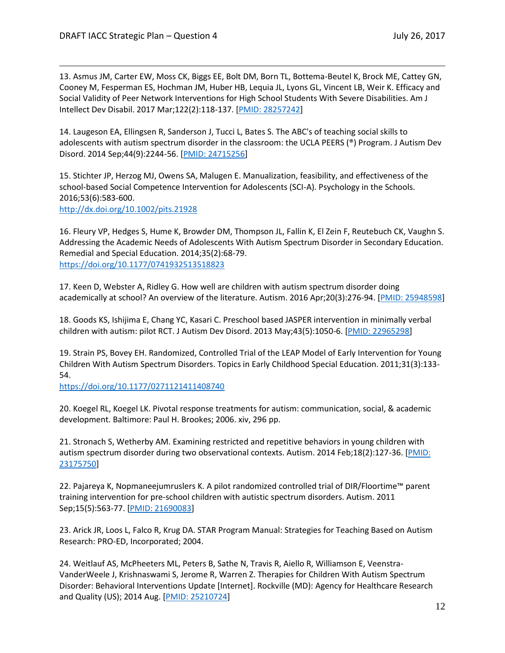13. Asmus JM, Carter EW, Moss CK, Biggs EE, Bolt DM, Born TL, Bottema-Beutel K, Brock ME, Cattey GN, Cooney M, Fesperman ES, Hochman JM, Huber HB, Lequia JL, Lyons GL, Vincent LB, Weir K. Efficacy and Social Validity of Peer Network Interventions for High School Students With Severe Disabilities. Am J Intellect Dev Disabil. 2017 Mar;122(2):118-137. [\[PMID: 28257242\]](https://www.ncbi.nlm.nih.gov/pubmed/28257242)

14. Laugeson EA, Ellingsen R, Sanderson J, Tucci L, Bates S. The ABC's of teaching social skills to adolescents with autism spectrum disorder in the classroom: the UCLA PEERS (®) Program. J Autism Dev Disord. 2014 Sep;44(9):2244-56. [\[PMID: 24715256\]](https://www.ncbi.nlm.nih.gov/pubmed/24715256)

15. Stichter JP, Herzog MJ, Owens SA, Malugen E. Manualization, feasibility, and effectiveness of the school-based Social Competence Intervention for Adolescents (SCI-A). Psychology in the Schools. 2016;53(6):583-600.

<http://dx.doi.org/10.1002/pits.21928>

16. Fleury VP, Hedges S, Hume K, Browder DM, Thompson JL, Fallin K, El Zein F, Reutebuch CK, Vaughn S. Addressing the Academic Needs of Adolescents With Autism Spectrum Disorder in Secondary Education. Remedial and Special Education. 2014;35(2):68-79. <https://doi.org/10.1177/0741932513518823>

17. Keen D, Webster A, Ridley G. How well are children with autism spectrum disorder doing academically at school? An overview of the literature. Autism. 2016 Apr;20(3):276-94. [\[PMID: 25948598\]](https://www.ncbi.nlm.nih.gov/pubmed/25948598)

18. Goods KS, Ishijima E, Chang YC, Kasari C. Preschool based JASPER intervention in minimally verbal children with autism: pilot RCT. J Autism Dev Disord. 2013 May;43(5):1050-6. [\[PMID: 22965298\]](https://www.ncbi.nlm.nih.gov/pubmed/22965298)

19. Strain PS, Bovey EH. Randomized, Controlled Trial of the LEAP Model of Early Intervention for Young Children With Autism Spectrum Disorders. Topics in Early Childhood Special Education. 2011;31(3):133- 54.

<https://doi.org/10.1177/0271121411408740>

20. Koegel RL, Koegel LK. Pivotal response treatments for autism: communication, social, & academic development. Baltimore: Paul H. Brookes; 2006. xiv, 296 pp.

21. Stronach S, Wetherby AM. Examining restricted and repetitive behaviors in young children with autism spectrum disorder during two observational contexts. Autism. 2014 Feb;18(2):127-36. [PMID: [23175750\]](https://www.ncbi.nlm.nih.gov/pubmed/23175750)

22. Pajareya K, Nopmaneejumruslers K. A pilot randomized controlled trial of DIR/Floortime™ parent training intervention for pre-school children with autistic spectrum disorders. Autism. 2011 Sep;15(5):563-77. [\[PMID: 21690083\]](https://www.ncbi.nlm.nih.gov/pubmed/21690083)

23. Arick JR, Loos L, Falco R, Krug DA. STAR Program Manual: Strategies for Teaching Based on Autism Research: PRO-ED, Incorporated; 2004.

24. Weitlauf AS, McPheeters ML, Peters B, Sathe N, Travis R, Aiello R, Williamson E, Veenstra-VanderWeele J, Krishnaswami S, Jerome R, Warren Z. Therapies for Children With Autism Spectrum Disorder: Behavioral Interventions Update [Internet]. Rockville (MD): Agency for Healthcare Research and Quality (US); 2014 Aug. [\[PMID: 25210724\]](https://www.ncbi.nlm.nih.gov/pubmed/25210724)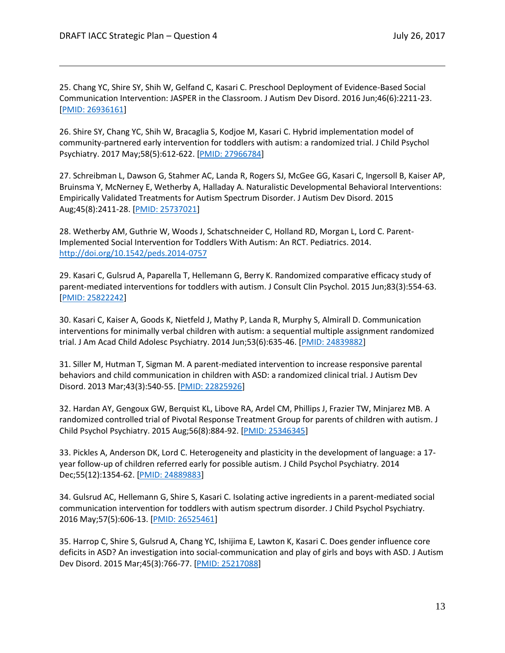25. Chang YC, Shire SY, Shih W, Gelfand C, Kasari C. Preschool Deployment of Evidence-Based Social Communication Intervention: JASPER in the Classroom. J Autism Dev Disord. 2016 Jun;46(6):2211-23. [\[PMID: 26936161\]](https://www.ncbi.nlm.nih.gov/pubmed/26936161)

26. Shire SY, Chang YC, Shih W, Bracaglia S, Kodjoe M, Kasari C. Hybrid implementation model of community-partnered early intervention for toddlers with autism: a randomized trial. J Child Psychol Psychiatry. 2017 May;58(5):612-622. [\[PMID: 27966784\]](https://www.ncbi.nlm.nih.gov/pubmed/27966784)

27. Schreibman L, Dawson G, Stahmer AC, Landa R, Rogers SJ, McGee GG, Kasari C, Ingersoll B, Kaiser AP, Bruinsma Y, McNerney E, Wetherby A, Halladay A. Naturalistic Developmental Behavioral Interventions: Empirically Validated Treatments for Autism Spectrum Disorder. J Autism Dev Disord. 2015 Aug;45(8):2411-28. [\[PMID: 25737021\]](https://www.ncbi.nlm.nih.gov/pubmed/25737021)

28. Wetherby AM, Guthrie W, Woods J, Schatschneider C, Holland RD, Morgan L, Lord C. Parent-Implemented Social Intervention for Toddlers With Autism: An RCT. Pediatrics. 2014. <http://doi.org/10.1542/peds.2014-0757>

29. Kasari C, Gulsrud A, Paparella T, Hellemann G, Berry K. Randomized comparative efficacy study of parent-mediated interventions for toddlers with autism. J Consult Clin Psychol. 2015 Jun;83(3):554-63. [\[PMID: 25822242\]](https://www.ncbi.nlm.nih.gov/pubmed/25822242)

30. Kasari C, Kaiser A, Goods K, Nietfeld J, Mathy P, Landa R, Murphy S, Almirall D. Communication interventions for minimally verbal children with autism: a sequential multiple assignment randomized trial. J Am Acad Child Adolesc Psychiatry. 2014 Jun;53(6):635-46. [\[PMID: 24839882\]](https://www.ncbi.nlm.nih.gov/pubmed/24839882)

31. Siller M, Hutman T, Sigman M. A parent-mediated intervention to increase responsive parental behaviors and child communication in children with ASD: a randomized clinical trial. J Autism Dev Disord. 2013 Mar;43(3):540-55. [\[PMID: 22825926\]](https://www.ncbi.nlm.nih.gov/pubmed/22825926)

32. Hardan AY, Gengoux GW, Berquist KL, Libove RA, Ardel CM, Phillips J, Frazier TW, Minjarez MB. A randomized controlled trial of Pivotal Response Treatment Group for parents of children with autism. J Child Psychol Psychiatry. 2015 Aug;56(8):884-92. [\[PMID: 25346345\]](https://www.ncbi.nlm.nih.gov/pubmed/25346345)

33. Pickles A, Anderson DK, Lord C. Heterogeneity and plasticity in the development of language: a 17 year follow-up of children referred early for possible autism. J Child Psychol Psychiatry. 2014 Dec;55(12):1354-62. [\[PMID: 24889883\]](https://www.ncbi.nlm.nih.gov/pubmed/24889883)

34. Gulsrud AC, Hellemann G, Shire S, Kasari C. Isolating active ingredients in a parent-mediated social communication intervention for toddlers with autism spectrum disorder. J Child Psychol Psychiatry. 2016 May;57(5):606-13. [\[PMID: 26525461\]](https://www.ncbi.nlm.nih.gov/pubmed/26525461)

35. Harrop C, Shire S, Gulsrud A, Chang YC, Ishijima E, Lawton K, Kasari C. Does gender influence core deficits in ASD? An investigation into social-communication and play of girls and boys with ASD. J Autism Dev Disord. 2015 Mar;45(3):766-77. [\[PMID: 25217088\]](https://www.ncbi.nlm.nih.gov/pubmed/25217088)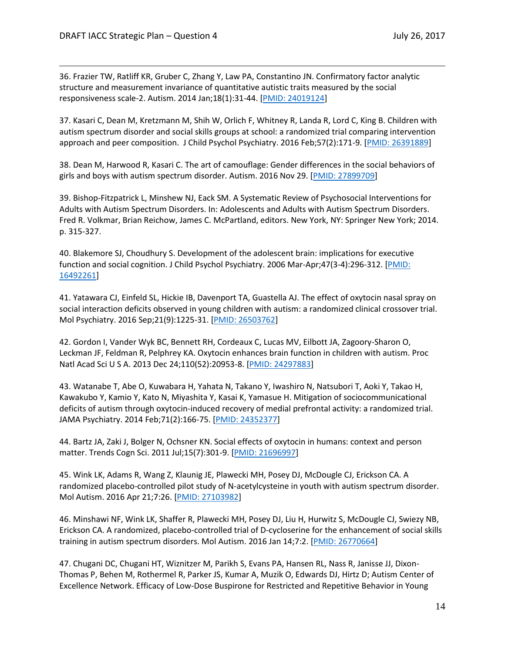36. Frazier TW, Ratliff KR, Gruber C, Zhang Y, Law PA, Constantino JN. Confirmatory factor analytic structure and measurement invariance of quantitative autistic traits measured by the social responsiveness scale-2. Autism. 2014 Jan;18(1):31-44. [\[PMID: 24019124\]](https://www.ncbi.nlm.nih.gov/pubmed/24019124)

37. Kasari C, Dean M, Kretzmann M, Shih W, Orlich F, Whitney R, Landa R, Lord C, King B. Children with autism spectrum disorder and social skills groups at school: a randomized trial comparing intervention approach and peer composition. J Child Psychol Psychiatry. 2016 Feb;57(2):171-9. [\[PMID: 26391889\]](https://www.ncbi.nlm.nih.gov/pubmed/26391889)

38. Dean M, Harwood R, Kasari C. The art of camouflage: Gender differences in the social behaviors of girls and boys with autism spectrum disorder. Autism. 2016 Nov 29. [\[PMID: 27899709\]](https://www.ncbi.nlm.nih.gov/pubmed/27899709)

39. Bishop-Fitzpatrick L, Minshew NJ, Eack SM. A Systematic Review of Psychosocial Interventions for Adults with Autism Spectrum Disorders. In: Adolescents and Adults with Autism Spectrum Disorders. Fred R. Volkmar, Brian Reichow, James C. McPartland, editors. New York, NY: Springer New York; 2014. p. 315-327.

40. Blakemore SJ, Choudhury S. Development of the adolescent brain: implications for executive function and social cognition. J Child Psychol Psychiatry. 2006 Mar-Apr;47(3-4):296-312. [\[PMID:](https://www.ncbi.nlm.nih.gov/pubmed/16492261)  [16492261\]](https://www.ncbi.nlm.nih.gov/pubmed/16492261)

41. Yatawara CJ, Einfeld SL, Hickie IB, Davenport TA, Guastella AJ. The effect of oxytocin nasal spray on social interaction deficits observed in young children with autism: a randomized clinical crossover trial. Mol Psychiatry. 2016 Sep;21(9):1225-31. [\[PMID: 26503762\]](https://www.ncbi.nlm.nih.gov/pubmed/26503762)

42. Gordon I, Vander Wyk BC, Bennett RH, Cordeaux C, Lucas MV, Eilbott JA, Zagoory-Sharon O, Leckman JF, Feldman R, Pelphrey KA. Oxytocin enhances brain function in children with autism. Proc Natl Acad Sci U S A. 2013 Dec 24;110(52):20953-8. [\[PMID: 24297883\]](https://www.ncbi.nlm.nih.gov/pubmed/24297883)

43. Watanabe T, Abe O, Kuwabara H, Yahata N, Takano Y, Iwashiro N, Natsubori T, Aoki Y, Takao H, Kawakubo Y, Kamio Y, Kato N, Miyashita Y, Kasai K, Yamasue H. Mitigation of sociocommunicational deficits of autism through oxytocin-induced recovery of medial prefrontal activity: a randomized trial. JAMA Psychiatry. 2014 Feb;71(2):166-75. [\[PMID: 24352377\]](https://www.ncbi.nlm.nih.gov/pubmed/24352377)

44. Bartz JA, Zaki J, Bolger N, Ochsner KN. Social effects of oxytocin in humans: context and person matter. Trends Cogn Sci. 2011 Jul;15(7):301-9. [\[PMID: 21696997\]](https://www.ncbi.nlm.nih.gov/pubmed/21696997)

45. Wink LK, Adams R, Wang Z, Klaunig JE, Plawecki MH, Posey DJ, McDougle CJ, Erickson CA. A randomized placebo-controlled pilot study of N-acetylcysteine in youth with autism spectrum disorder. Mol Autism. 2016 Apr 21;7:26. [\[PMID: 27103982\]](https://www.ncbi.nlm.nih.gov/pubmed/27103982)

46. Minshawi NF, Wink LK, Shaffer R, Plawecki MH, Posey DJ, Liu H, Hurwitz S, McDougle CJ, Swiezy NB, Erickson CA. A randomized, placebo-controlled trial of D-cycloserine for the enhancement of social skills training in autism spectrum disorders. Mol Autism. 2016 Jan 14;7:2. [\[PMID: 26770664\]](https://www.ncbi.nlm.nih.gov/pubmed/26770664)

47. Chugani DC, Chugani HT, Wiznitzer M, Parikh S, Evans PA, Hansen RL, Nass R, Janisse JJ, Dixon-Thomas P, Behen M, Rothermel R, Parker JS, Kumar A, Muzik O, Edwards DJ, Hirtz D; Autism Center of Excellence Network. Efficacy of Low-Dose Buspirone for Restricted and Repetitive Behavior in Young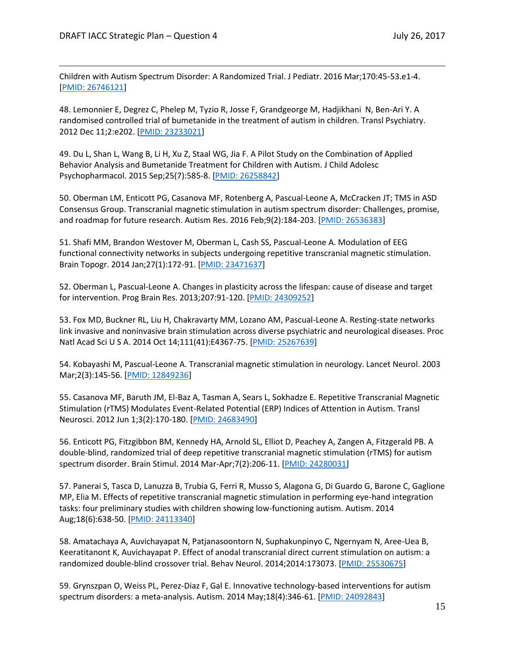Children with Autism Spectrum Disorder: A Randomized Trial. J Pediatr. 2016 Mar;170:45-53.e1-4. [\[PMID: 26746121\]](https://www.ncbi.nlm.nih.gov/pubmed/26746121)

48. Lemonnier E, Degrez C, Phelep M, Tyzio R, Josse F, Grandgeorge M, Hadjikhani N, Ben-Ari Y. A randomised controlled trial of bumetanide in the treatment of autism in children. Transl Psychiatry. 2012 Dec 11;2:e202. [\[PMID: 23233021\]](https://www.ncbi.nlm.nih.gov/pubmed/23233021)

49. Du L, Shan L, Wang B, Li H, Xu Z, Staal WG, Jia F. A Pilot Study on the Combination of Applied Behavior Analysis and Bumetanide Treatment for Children with Autism. J Child Adolesc Psychopharmacol. 2015 Sep;25(7):585-8. [\[PMID: 26258842\]](https://www.ncbi.nlm.nih.gov/pubmed/26258842)

50. Oberman LM, Enticott PG, Casanova MF, Rotenberg A, Pascual-Leone A, McCracken JT; TMS in ASD Consensus Group. Transcranial magnetic stimulation in autism spectrum disorder: Challenges, promise, and roadmap for future research. Autism Res. 2016 Feb;9(2):184-203. [\[PMID: 26536383\]](https://www.ncbi.nlm.nih.gov/pubmed/26536383)

51. Shafi MM, Brandon Westover M, Oberman L, Cash SS, Pascual-Leone A. Modulation of EEG functional connectivity networks in subjects undergoing repetitive transcranial magnetic stimulation. Brain Topogr. 2014 Jan;27(1):172-91. [\[PMID: 23471637\]](https://www.ncbi.nlm.nih.gov/pubmed/23471637)

52. Oberman L, Pascual-Leone A. Changes in plasticity across the lifespan: cause of disease and target for intervention. Prog Brain Res. 2013;207:91-120. [\[PMID: 24309252\]](https://www.ncbi.nlm.nih.gov/pubmed/24309252)

53. Fox MD, Buckner RL, Liu H, Chakravarty MM, Lozano AM, Pascual-Leone A. Resting-state networks link invasive and noninvasive brain stimulation across diverse psychiatric and neurological diseases. Proc Natl Acad Sci U S A. 2014 Oct 14;111(41):E4367-75. [\[PMID: 25267639\]](https://www.ncbi.nlm.nih.gov/pubmed/25267639)

54. Kobayashi M, Pascual-Leone A. Transcranial magnetic stimulation in neurology. Lancet Neurol. 2003 Mar;2(3):145-56. [\[PMID: 12849236\]](https://www.ncbi.nlm.nih.gov/pubmed/12849236)

55. Casanova MF, Baruth JM, El-Baz A, Tasman A, Sears L, Sokhadze E. Repetitive Transcranial Magnetic Stimulation (rTMS) Modulates Event-Related Potential (ERP) Indices of Attention in Autism. Transl Neurosci. 2012 Jun 1;3(2):170-180. [\[PMID: 24683490\]](https://www.ncbi.nlm.nih.gov/pubmed/24683490)

56. Enticott PG, Fitzgibbon BM, Kennedy HA, Arnold SL, Elliot D, Peachey A, Zangen A, Fitzgerald PB. A double-blind, randomized trial of deep repetitive transcranial magnetic stimulation (rTMS) for autism spectrum disorder. Brain Stimul. 2014 Mar-Apr;7(2):206-11. [\[PMID: 24280031\]](https://www.ncbi.nlm.nih.gov/pubmed/24280031)

57. Panerai S, Tasca D, Lanuzza B, Trubia G, Ferri R, Musso S, Alagona G, Di Guardo G, Barone C, Gaglione MP, Elia M. Effects of repetitive transcranial magnetic stimulation in performing eye-hand integration tasks: four preliminary studies with children showing low-functioning autism. Autism. 2014 Aug;18(6):638-50. [\[PMID: 24113340\]](https://www.ncbi.nlm.nih.gov/pubmed/24113340)

58. Amatachaya A, Auvichayapat N, Patjanasoontorn N, Suphakunpinyo C, Ngernyam N, Aree-Uea B, Keeratitanont K, Auvichayapat P. Effect of anodal transcranial direct current stimulation on autism: a randomized double-blind crossover trial. Behav Neurol. 2014;2014:173073. [\[PMID: 25530675\]](https://www.ncbi.nlm.nih.gov/pubmed/25530675)

59. Grynszpan O, Weiss PL, Perez-Diaz F, Gal E. Innovative technology-based interventions for autism spectrum disorders: a meta-analysis. Autism. 2014 May;18(4):346-61. [\[PMID: 24092843\]](https://www.ncbi.nlm.nih.gov/pubmed/24092843)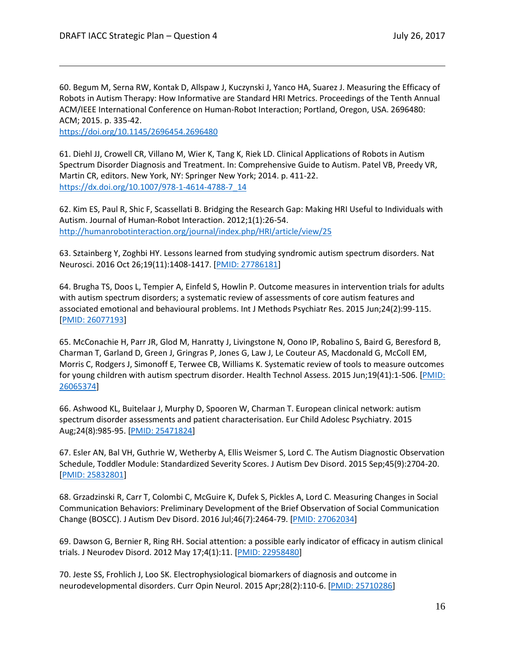60. Begum M, Serna RW, Kontak D, Allspaw J, Kuczynski J, Yanco HA, Suarez J. Measuring the Efficacy of Robots in Autism Therapy: How Informative are Standard HRI Metrics. Proceedings of the Tenth Annual ACM/IEEE International Conference on Human-Robot Interaction; Portland, Oregon, USA. 2696480: ACM; 2015. p. 335-42.

<https://doi.org/10.1145/2696454.2696480>

61. Diehl JJ, Crowell CR, Villano M, Wier K, Tang K, Riek LD. Clinical Applications of Robots in Autism Spectrum Disorder Diagnosis and Treatment. In: Comprehensive Guide to Autism. Patel VB, Preedy VR, Martin CR, editors. New York, NY: Springer New York; 2014. p. 411-22. [https://dx.doi.org/10.1007/978-1-4614-4788-7\\_14](https://dx.doi.org/10.1007/978-1-4614-4788-7_14)

62. Kim ES, Paul R, Shic F, Scassellati B. Bridging the Research Gap: Making HRI Useful to Individuals with Autism. Journal of Human-Robot Interaction. 2012;1(1):26-54. <http://humanrobotinteraction.org/journal/index.php/HRI/article/view/25>

63. Sztainberg Y, Zoghbi HY. Lessons learned from studying syndromic autism spectrum disorders. Nat Neurosci. 2016 Oct 26;19(11):1408-1417. [\[PMID: 27786181\]](https://www.ncbi.nlm.nih.gov/pubmed/27786181)

64. Brugha TS, Doos L, Tempier A, Einfeld S, Howlin P. Outcome measures in intervention trials for adults with autism spectrum disorders; a systematic review of assessments of core autism features and associated emotional and behavioural problems. Int J Methods Psychiatr Res. 2015 Jun;24(2):99-115. [\[PMID: 26077193\]](https://www.ncbi.nlm.nih.gov/pubmed/26077193)

65. McConachie H, Parr JR, Glod M, Hanratty J, Livingstone N, Oono IP, Robalino S, Baird G, Beresford B, Charman T, Garland D, Green J, Gringras P, Jones G, Law J, Le Couteur AS, Macdonald G, McColl EM, Morris C, Rodgers J, Simonoff E, Terwee CB, Williams K. Systematic review of tools to measure outcomes for young children with autism spectrum disorder. Health Technol Assess. 2015 Jun;19(41):1-506. [\[PMID:](https://www.ncbi.nlm.nih.gov/pubmed/26065374)  [26065374\]](https://www.ncbi.nlm.nih.gov/pubmed/26065374)

66. Ashwood KL, Buitelaar J, Murphy D, Spooren W, Charman T. European clinical network: autism spectrum disorder assessments and patient characterisation. Eur Child Adolesc Psychiatry. 2015 Aug;24(8):985-95. [\[PMID: 25471824\]](https://www.ncbi.nlm.nih.gov/pubmed/25471824)

67. Esler AN, Bal VH, Guthrie W, Wetherby A, Ellis Weismer S, Lord C. The Autism Diagnostic Observation Schedule, Toddler Module: Standardized Severity Scores. J Autism Dev Disord. 2015 Sep;45(9):2704-20. [\[PMID: 25832801\]](https://www.ncbi.nlm.nih.gov/pubmed/25832801)

68. Grzadzinski R, Carr T, Colombi C, McGuire K, Dufek S, Pickles A, Lord C. Measuring Changes in Social Communication Behaviors: Preliminary Development of the Brief Observation of Social Communication Change (BOSCC). J Autism Dev Disord. 2016 Jul;46(7):2464-79. [\[PMID: 27062034\]](https://www.ncbi.nlm.nih.gov/pubmed/27062034)

69. Dawson G, Bernier R, Ring RH. Social attention: a possible early indicator of efficacy in autism clinical trials. J Neurodev Disord. 2012 May 17;4(1):11. [\[PMID: 22958480\]](https://www.ncbi.nlm.nih.gov/pubmed/22958480)

70. Jeste SS, Frohlich J, Loo SK. Electrophysiological biomarkers of diagnosis and outcome in neurodevelopmental disorders. Curr Opin Neurol. 2015 Apr;28(2):110-6. [\[PMID: 25710286\]](https://www.ncbi.nlm.nih.gov/pubmed/25710286)